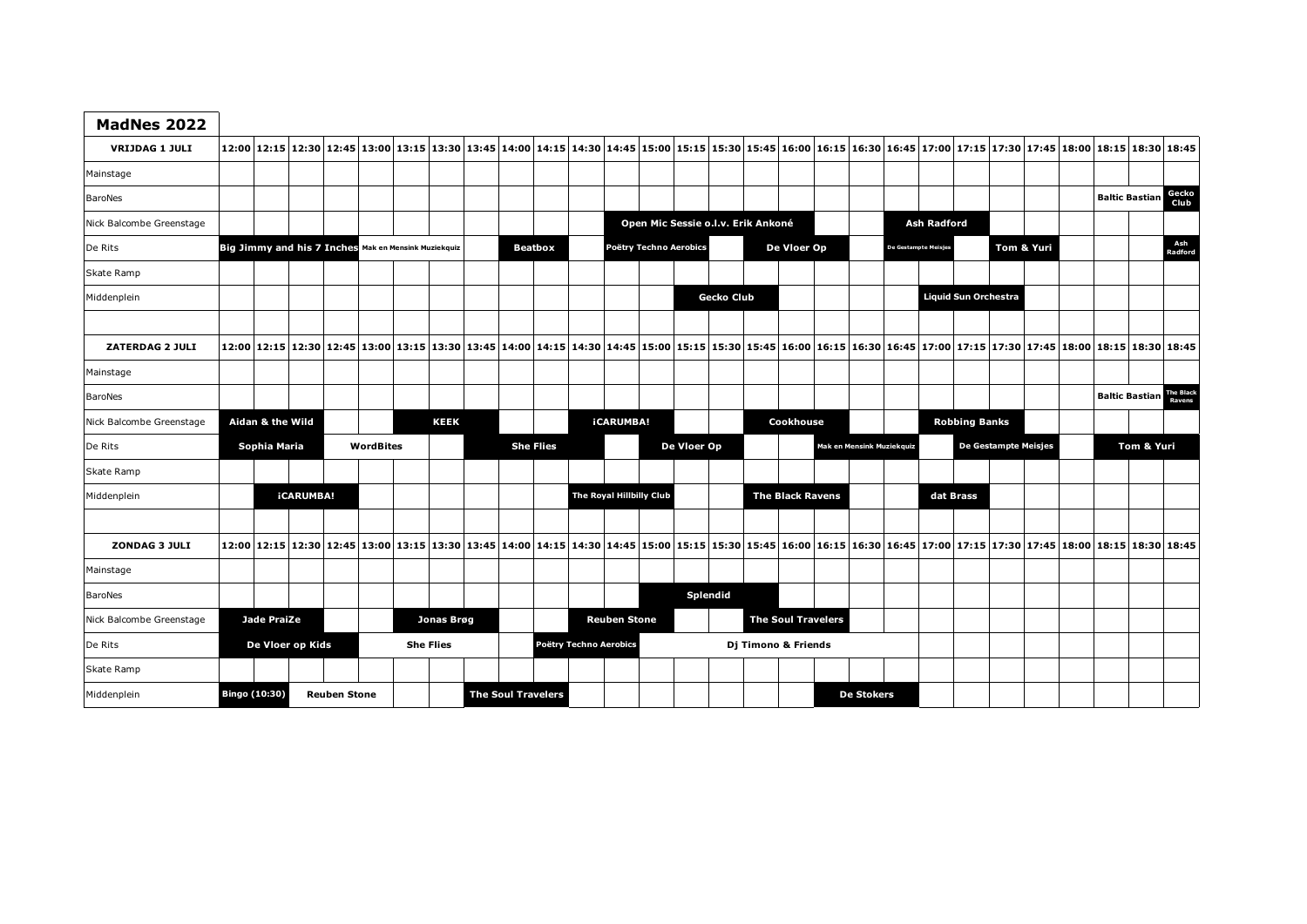| MadNes 2022              |                                                      |                                                                                                                                                                                                                                 |                  |  |  |                           |             |  |                |                  |                        |                        |                          |                                    |                   |                           |                         |  |                           |                    |  |                             |                             |  |                |                                 |               |
|--------------------------|------------------------------------------------------|---------------------------------------------------------------------------------------------------------------------------------------------------------------------------------------------------------------------------------|------------------|--|--|---------------------------|-------------|--|----------------|------------------|------------------------|------------------------|--------------------------|------------------------------------|-------------------|---------------------------|-------------------------|--|---------------------------|--------------------|--|-----------------------------|-----------------------------|--|----------------|---------------------------------|---------------|
| <b>VRIJDAG 1 JULI</b>    |                                                      | 12:00 12:15   12:30   12:45   13:00   13:15   13:30   13:45   14:00   14:15   14:30   14:45   15:00   15:15   15:30   15:45   16:00   16:15   16:00   16:15   16:00   17:15   17:00   17:15   17:30   17:45   18:00   18:15   1 |                  |  |  |                           |             |  |                |                  |                        |                        |                          |                                    |                   |                           |                         |  |                           |                    |  |                             |                             |  |                |                                 |               |
| Mainstage                |                                                      |                                                                                                                                                                                                                                 |                  |  |  |                           |             |  |                |                  |                        |                        |                          |                                    |                   |                           |                         |  |                           |                    |  |                             |                             |  |                |                                 |               |
| BaroNes                  |                                                      |                                                                                                                                                                                                                                 |                  |  |  |                           |             |  |                |                  |                        |                        |                          |                                    |                   |                           |                         |  |                           |                    |  |                             |                             |  |                | <b>Baltic Bastian</b>           | Gecko<br>Club |
| Nick Balcombe Greenstage |                                                      |                                                                                                                                                                                                                                 |                  |  |  |                           |             |  |                |                  |                        |                        |                          | Open Mic Sessie o.l.v. Erik Ankoné |                   |                           |                         |  |                           | <b>Ash Radford</b> |  |                             |                             |  |                |                                 |               |
| De Rits                  | Big Jimmy and his 7 Inches Mak en Mensink Muziekquiz |                                                                                                                                                                                                                                 |                  |  |  |                           |             |  | <b>Beatbox</b> |                  |                        | Poëtry Techno Aerobics |                          |                                    | De Vloer Op       |                           |                         |  | De Gestampte Meisje       | Tom & Yuri         |  |                             |                             |  | Ash<br>Radford |                                 |               |
| Skate Ramp               |                                                      |                                                                                                                                                                                                                                 |                  |  |  |                           |             |  |                |                  |                        |                        |                          |                                    |                   |                           |                         |  |                           |                    |  |                             |                             |  |                |                                 |               |
| Middenplein              |                                                      |                                                                                                                                                                                                                                 |                  |  |  |                           |             |  |                |                  |                        |                        |                          |                                    | <b>Gecko Club</b> |                           |                         |  |                           |                    |  | <b>Liquid Sun Orchestra</b> |                             |  |                |                                 |               |
|                          |                                                      |                                                                                                                                                                                                                                 |                  |  |  |                           |             |  |                |                  |                        |                        |                          |                                    |                   |                           |                         |  |                           |                    |  |                             |                             |  |                |                                 |               |
| ZATERDAG 2 JULI          |                                                      | 12:00 12:15   12:30   12:45   13:00   13:15   13:30   13:45   14:00   14:15   14:30   14:45   15:00   15:15   15:30   16:15   16:00   16:15   16:00   16:45   17:00   17:15   17:30   17:45   18:00   18:15   18:30   18:45   1 |                  |  |  |                           |             |  |                |                  |                        |                        |                          |                                    |                   |                           |                         |  |                           |                    |  |                             |                             |  |                |                                 |               |
| Mainstage                |                                                      |                                                                                                                                                                                                                                 |                  |  |  |                           |             |  |                |                  |                        |                        |                          |                                    |                   |                           |                         |  |                           |                    |  |                             |                             |  |                |                                 |               |
| BaroNes                  |                                                      |                                                                                                                                                                                                                                 |                  |  |  |                           |             |  |                |                  |                        |                        |                          |                                    |                   |                           |                         |  |                           |                    |  |                             |                             |  |                | <b>Baltic Bastian The Black</b> |               |
| Nick Balcombe Greenstage |                                                      | Aidan & the Wild                                                                                                                                                                                                                |                  |  |  |                           | <b>KEEK</b> |  |                |                  |                        | <b>iCARUMBA!</b>       |                          |                                    |                   |                           | Cookhouse               |  |                           |                    |  | <b>Robbing Banks</b>        |                             |  |                |                                 |               |
| De Rits                  | Sophia Maria<br><b>WordBites</b>                     |                                                                                                                                                                                                                                 |                  |  |  |                           |             |  |                | <b>She Flies</b> |                        |                        | De Vloer Op              |                                    |                   |                           |                         |  | Mak en Mensink Muziekquiz |                    |  |                             | <b>De Gestampte Meisjes</b> |  |                | Tom & Yuri                      |               |
| Skate Ramp               |                                                      |                                                                                                                                                                                                                                 |                  |  |  |                           |             |  |                |                  |                        |                        |                          |                                    |                   |                           |                         |  |                           |                    |  |                             |                             |  |                |                                 |               |
| Middenplein              |                                                      |                                                                                                                                                                                                                                 | <b>iCARUMBA!</b> |  |  |                           |             |  |                |                  |                        |                        | The Royal Hillbilly Club |                                    |                   |                           | <b>The Black Ravens</b> |  |                           |                    |  | dat Brass                   |                             |  |                |                                 |               |
|                          |                                                      |                                                                                                                                                                                                                                 |                  |  |  |                           |             |  |                |                  |                        |                        |                          |                                    |                   |                           |                         |  |                           |                    |  |                             |                             |  |                |                                 |               |
| <b>ZONDAG 3 JULI</b>     |                                                      | 12:45 12:30 12:45 13:00 13:15 13:30 13:45 14:00 14:15 14:30 14:45 15:00 15:15 15:30 15:45 16:00 16:15 16:30 16:45 17:00 17:15 17:30 17:45 18:00 18:15 18:30 18:45 18:30 18:45                                                   |                  |  |  |                           |             |  |                |                  |                        |                        |                          |                                    |                   |                           |                         |  |                           |                    |  |                             |                             |  |                |                                 |               |
| Mainstage                |                                                      |                                                                                                                                                                                                                                 |                  |  |  |                           |             |  |                |                  |                        |                        |                          |                                    |                   |                           |                         |  |                           |                    |  |                             |                             |  |                |                                 |               |
| <b>BaroNes</b>           |                                                      |                                                                                                                                                                                                                                 |                  |  |  |                           |             |  |                |                  |                        |                        |                          |                                    | Splendid          |                           |                         |  |                           |                    |  |                             |                             |  |                |                                 |               |
| Nick Balcombe Greenstage | <b>Jade PraiZe</b>                                   |                                                                                                                                                                                                                                 |                  |  |  | Jonas Brøg                |             |  |                |                  |                        |                        | <b>Reuben Stone</b>      |                                    |                   | <b>The Soul Travelers</b> |                         |  |                           |                    |  |                             |                             |  |                |                                 |               |
| De Rits                  | De Vloer op Kids                                     |                                                                                                                                                                                                                                 |                  |  |  | <b>She Flies</b>          |             |  |                |                  | Poëtry Techno Aerobics |                        |                          |                                    |                   |                           | Dj Timono & Friends     |  |                           |                    |  |                             |                             |  |                |                                 |               |
| Skate Ramp               |                                                      |                                                                                                                                                                                                                                 |                  |  |  |                           |             |  |                |                  |                        |                        |                          |                                    |                   |                           |                         |  |                           |                    |  |                             |                             |  |                |                                 |               |
| Middenplein              | Bingo (10:30)<br><b>Reuben Stone</b>                 |                                                                                                                                                                                                                                 |                  |  |  | <b>The Soul Travelers</b> |             |  |                |                  |                        |                        |                          |                                    |                   |                           |                         |  | <b>De Stokers</b>         |                    |  |                             |                             |  |                |                                 |               |

 $\mathbf{r}$ 

÷